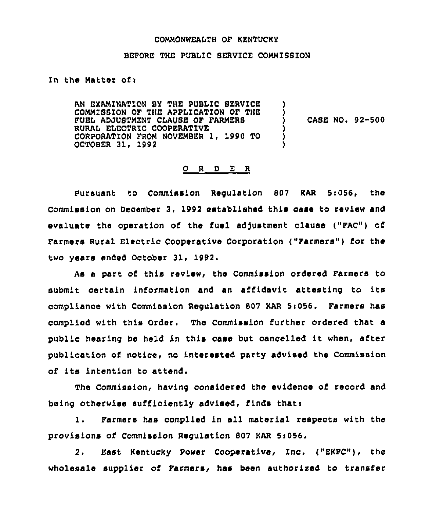#### COMMONWEALTH OF KENTUCKY

#### BEFORE THE PUBLIC SERVICE COMMIBSION

## In the Matter of:

AN EXAMINATION BY THE PUBLIC SERVICE COMMISSION OF THE APPLICATION OF THE FUEL ADJUSTMENT CLAUSE OF FARMERS RURAL ELECTRIC COOPERATIVE CORPORATION FROM NOVEMBER 1, 1990 TO OCTOBER 31. 1992 ) ) ) CASE NO. 92-500 )<br>) )

## 0 <sup>R</sup> <sup>D</sup> <sup>E</sup> <sup>R</sup>

Pursuant to Commission Requlation 807 KAR 5:056, the Commission on December 3, 1992 established this case to review and evaluate the operation of the fuel adjustment clause ("FAC") of Farmers Rural Electric Cooperative Corporation ("Farmers") for the two years ended October 31, 1992.

As a part of this review, the Commission ordered Farmers to submit certain information and an affidavit attesting to its compliance with Commission Regulation 807 KAR 5:056. Farmers has complied with this Order. The Commission further ordered that a public hearing be held in this case but cancelled it when, after publication of notice, no interested party advised the Commission of its intention to attend.

The Commission, having considered the evidence of record and being otherwise sufficiently advised, finds that:

l. Farmers has complied in all material respects with the provisions of Commission Regulation 807 KAR Ss056.

2. East Kentucky Power Cooperative, Inc. ("EKPC"), the wholesale supplier of Farmers, has been authorized to transfer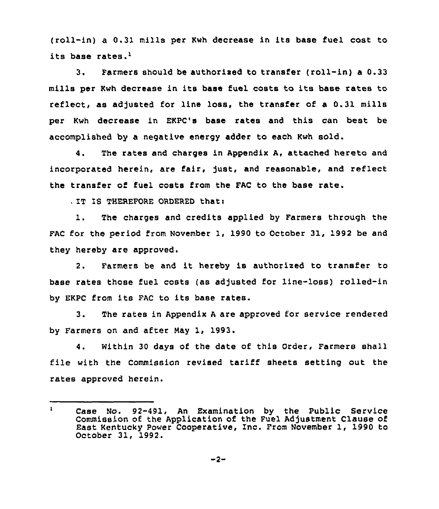(roll-in) a 0.31 mills per Kwh decrease in its base fuel cost to its base rates.'.

Farmers should be authorised to transfer (roll-in) a 0.33  $3.$ mills per Kwh decrease in its base fuel costs to its base rates to reflect, as adjusted for line loss, the transfer of a 0.31 mills per Kwh decrease in EKPC's base rates and this can best be accomplished by a negative energy adder to each Kwh sold.

4. The rates and charges in Appendix A, attached hereto and incorporated herein, are fair, just, and reasonable, and reflect the transfer of fuel costs from the FAC to the base rate.

. IT IS THEREFORE ORDERED thati

1. The charges and credits applied by Farmers through the FAC for the period from November 1, 1990 to October 31, 1992 be and they hereby are approved.

2. Farmers be and it hereby is authorized to transfer to base rates those fuel costs (as adjusted for line-loss) rolled-in by EKPC from its FAC to its base rates.

3. The rates in Appendix <sup>A</sup> are approved for service rendered by Farmers on and after May 1, 1993.

4. within 30 days of the date of this Order, Farmers shall file with the Commission revised tariff sheets setting out the rates approved herein.

 $\mathbf{1}$ Case No. 92-491, An Examination by the Public Service Commission of the Application of the Fuel Adjustment Clause of East Kentucky Power Cooperative, Inc. From November 1, 1990 to October 31, 1992.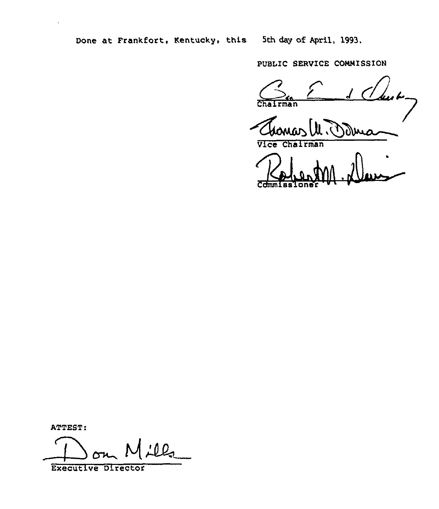Done at Frankfort, Kentucky, this 5th day of April, 1993,

PUBLIC SERVICE CONMISSION

 $C_n$   $C_{n}$ Chairman

Vice Chairman

Robert 1 Cchnmi as Iona r

ATTEST:

 $L2$ 

Executive Director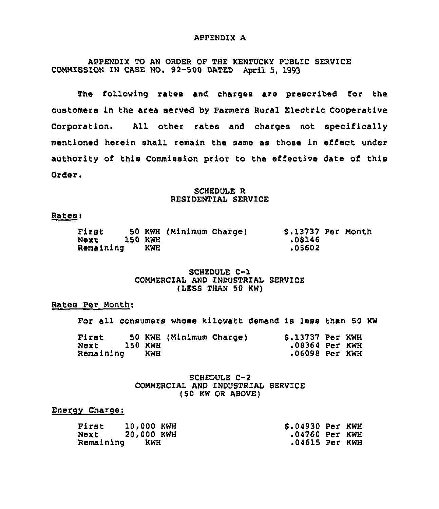#### APPENDIX A

APPENDIX TO AN ORDER OF THE KENTUCKY PUBLIC SERVICE COMMISSION IN CASE NO. 92-500 DATED April 5, 1993

The following rates and charges are prescribed for the customers in the area served by Farmers Rural Electric Cooperative Corporation. All other rates and charges not specifically mentioned herein shall remain the same as those in effect under authority of this Commission prior to the effective date of this Order.

## SCHEDULE R RESIDENTIAL SERVICE

### Rates:

| First     |                | 50 KWH (Minimum Charge) | \$.13737 Per Month |  |
|-----------|----------------|-------------------------|--------------------|--|
| Next      | <b>150 KWH</b> |                         | .08146             |  |
| Remaining | KWH            |                         | .05602             |  |

## SCHEDULE C-1 COMMERCIAL AND INDUSTRIAL SERVICE (LESS THAN 50 KW)

## Rates Per Month<

For all consumers whose kilowatt demand is less than 50 KW

| First     |         |     | 50 KWH (Minimum Charge) | \$.13737 Per KWH |  |
|-----------|---------|-----|-------------------------|------------------|--|
| Next      | 150 KWH |     |                         | .08364 Per KWH   |  |
| Remaining |         | KWH |                         | .06098 Per KWH   |  |

## SCHEDULE C-2 COMMERCIAL AND INDUSTRIAL SERVICE (50 KW OR ABOVE)

### Energy Charge:

| First     | 10,000 KWH | \$.04930 Per KWH |  |
|-----------|------------|------------------|--|
| Next      | 20,000 KWH | .04760 Per KWH   |  |
| Remaining | KWH        | .04615 Per KWH   |  |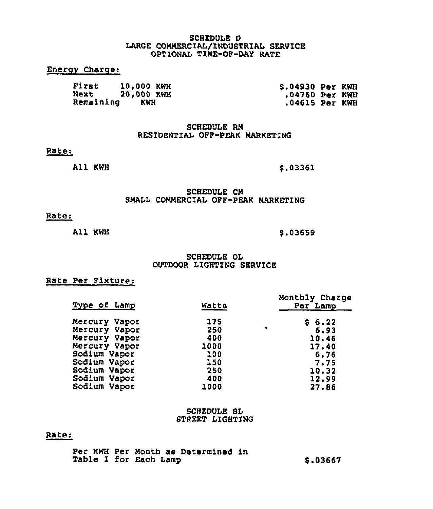### SCHEDULE D LARGE COMMERCIAL/INDUSTRIAL SERVICE OPTIONAL TINE-OF-DAY RATE

# Enerov Charge:

| First     | 10,000 KWH | \$.04930 Per KWH |  |
|-----------|------------|------------------|--|
| Next      | 20.000 KWH | .04760 Per KWH   |  |
| Remaining | KWH        | .04615 Per KWH   |  |

SCHEDULE RN RESIDENTIAI OFF-PEAK MARKETING

#### Rate:

All KWH

6.03361

### SCHEDULE CN SMALL COMMERCIAL OFF-PEAK MARKETING

# Rate:

All KWB

\$ .03659

### SCHEDULE OL OUTDOOR LIGHTING SERVICE

## Rate Per Fixture:

| Type of Lamp  | Watts |   | Monthly Charge<br>Per Lamp |
|---------------|-------|---|----------------------------|
| Mercury Vapor | 175   |   | \$6.22                     |
| Mercury Vapor | 250   | ٠ | 6.93                       |
| Mercury Vapor | 400   |   | 10.46                      |
| Mercury Vapor | 1000  |   | 17.40                      |
| Sodium Vapor  | 100   |   | 6.76                       |
| Sodium Vapor  | 150   |   | 7.75                       |
| Sodium Vapor  | 250   |   | 10.32                      |
| Sodium Vapor  | 400   |   | 12.99                      |
| Sodium Vapor  | 1000  |   | 27.86                      |

#### SCHEDULE SL STREET LIGHTING

## Rate:

Per KWH Per Month ae Determined in Table I for Each Lamp 6.03667